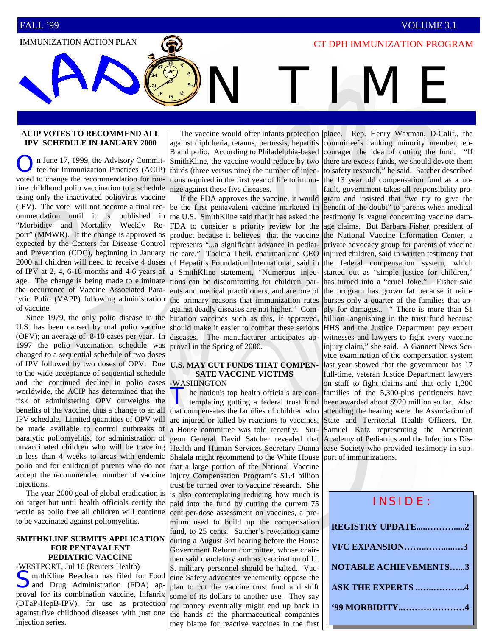## **IMMUNIZATION ACTION PLAN IMMUNIZATION PROGRAM**

N TIME

#### **ACIP VOTES TO RECOMMEND ALL IPV SCHEDULE IN JANUARY 2000**

n June 17, 1999, the Advisory Committee for Immunization Practices (ACIP) voted to change the recommendation for routine childhood polio vaccination to a schedule using only the inactivated poliovirus vaccine (IPV). The vote will not become a final recommendation until it is published in "Morbidity and Mortality Weekly Report" (MMWR). If the change is approved as expected by the Centers for Disease Control and Prevention (CDC), beginning in January 2000 all children will need to receive 4 doses of IPV at 2, 4, 6-18 months and 4-6 years of age. The change is being made to eliminate the occurrence of Vaccine Associated Paralytic Polio (VAPP) following administration of vaccine.

 Since 1979, the only polio disease in the U.S. has been caused by oral polio vaccine (OPV); an average of 8-10 cases per year. In 1997 the polio vaccination schedule was changed to a sequential schedule of two doses of IPV followed by two doses of OPV. Due to the wide acceptance of sequential schedule and the continued decline in polio cases worldwide, the ACIP has determined that the risk of administering OPV outweighs the benefits of the vaccine, thus a change to an all IPV schedule. Limited quantities of OPV will be made available to control outbreaks of paralytic poliomyelitis, for administration of unvaccinated children who will be traveling in less than 4 weeks to areas with endemic polio and for children of parents who do not accept the recommended number of vaccine injections.

 The year 2000 goal of global eradication is on target but until health officials certify the world as polio free all children will continue to be vaccinated against poliomyelitis.

#### **SMITHKLINE SUBMITS APPLICATION FOR PENTAVALENT PEDIATRIC VACCINE**

-WESTPORT, Jul 16 (Reuters Health) **C** mithKline Beecham has filed for Food and Drug Administration (FDA) approval for its combination vaccine, Infanrix (DTaP-HepB-IPV), for use as protection against five childhood diseases with just one injection series.

 The vaccine would offer infants protection against diphtheria, tetanus, pertussis, hepatitis B and polio. According to Philadelphia-based SmithKline, the vaccine would reduce by two thirds (three versus nine) the number of injections required in the first year of life to immunize against these five diseases.

 If the FDA approves the vaccine, it would be the first pentavalent vaccine marketed in the U.S. SmithKline said that it has asked the FDA to consider a priority review for the product because it believes that the vaccine represents "...a significant advance in pediatric care." Thelma Theil, chairman and CEO of Hepatitis Foundation International, said in a SmithKline statement, "Numerous injections can be discomforting for children, parents and medical practitioners, and are one of the primary reasons that immunization rates against deadly diseases are not higher." Combination vaccines such as this, if approved, should make it easier to combat these serious diseases. The manufacturer anticipates approval in the Spring of 2000.

#### **U.S. MAY CUT FUNDS THAT COMPEN-SATE VACCINE VICTIMS**  -WASHINGTON

The nation's top health officials are con-<br>templating gutting a federal trust fund that compensates the families of children who are injured or killed by reactions to vaccines, a House committee was told recently. Surgeon General David Satcher revealed that Health and Human Services Secretary Donna Shalala might recommend to the White House that a large portion of the National Vaccine Injury Compensation Program's \$1.4 billion trust be turned over to vaccine research. She is also contemplating reducing how much is paid into the fund by cutting the current 75 cent-per-dose assessment on vaccines, a premium used to build up the compensation fund, to 25 cents. Satcher's revelation came during a August 3rd hearing before the House Government Reform committee, whose chairmen said mandatory anthrax vaccination of U. S. military personnel should be halted. Vaccine Safety advocates vehemently oppose the plan to cut the vaccine trust fund and shift some of its dollars to another use. They say the money eventually might end up back in the hands of the pharmaceutical companies they blame for reactive vaccines in the first

place. Rep. Henry Waxman, D-Calif., the committee's ranking minority member, encouraged the idea of cutting the fund. "If there are excess funds, we should devote them to safety research," he said. Satcher described the 13 year old compensation fund as a nofault, government-takes-all responsibility program and insisted that "we try to give the benefit of the doubt" to parents when medical testimony is vague concerning vaccine damage claims. But Barbara Fisher, president of the National Vaccine Information Center, a private advocacy group for parents of vaccine injured children, said in written testimony that the federal compensation system, which started out as "simple justice for children," has turned into a "cruel Joke." Fisher said the program has grown fat because it reimburses only a quarter of the families that apply for damages.. " There is more than \$1 billion languishing in the trust fund because HHS and the Justice Department pay expert witnesses and lawyers to fight every vaccine injury claim," she said. A Gannett News Service examination of the compensation system last year showed that the government has 17 full-time, veteran Justice Department lawyers on staff to fight claims and that only 1,300 families of the 5,300-plus petitioners have been awarded about \$920 million so far. Also attending the hearing were the Association of State and Territorial Health Officers, Dr. Samuel Katz representing the American Academy of Pediatrics and the Infectious Disease Society who provided testimony in support of immunizations.

| INSIDE:                      |
|------------------------------|
| REGISTRY UPDATE2             |
| <b>VFC EXPANSION3</b>        |
| <b>NOTABLE ACHIEVEMENTS3</b> |
| <b>ASK THE EXPERTS 4</b>     |
| .99 MORBIDITY4               |
|                              |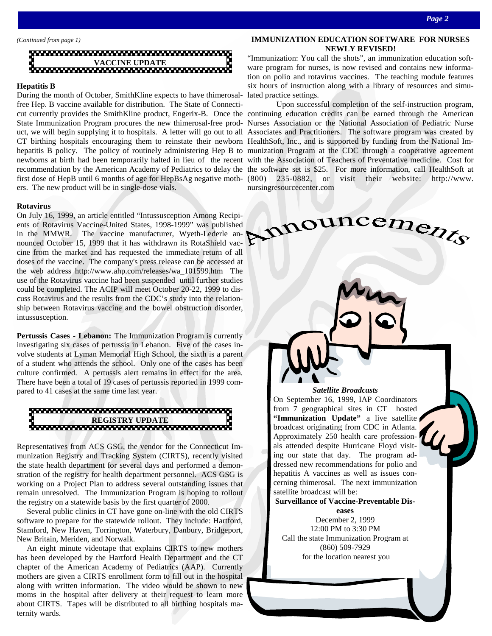

#### **Hepatitis B**

During the month of October, SmithKline expects to have thimerosalfree Hep. B vaccine available for distribution. The State of Connecticut currently provides the SmithKline product, Engerix-B. Once the State Immunization Program procures the new thimerosal-free product, we will begin supplying it to hospitals. A letter will go out to all CT birthing hospitals encouraging them to reinstate their newborn hepatitis B policy. The policy of routinely administering Hep B to newborns at birth had been temporarily halted in lieu of the recent recommendation by the American Academy of Pediatrics to delay the first dose of HepB until 6 months of age for HepBsAg negative mothers. The new product will be in single-dose vials.

#### **Rotavirus**

On July 16, 1999, an article entitled "Intussusception Among Recipients of Rotavirus Vaccine-United States, 1998-1999" was published in the MMWR. The vaccine manufacturer, Wyeth-Lederle announced October 15, 1999 that it has withdrawn its RotaShield vaccine from the market and has requested the immediate return of all doses of the vaccine. The company's press release can be accessed at the web address http://www.ahp.com/releases/wa\_101599.htm The use of the Rotavirus vaccine had been suspended until further studies could be completed. The ACIP will meet October 20-22, 1999 to discuss Rotavirus and the results from the CDC's study into the relationship between Rotavirus vaccine and the bowel obstruction disorder, intussusception.

**Pertussis Cases - Lebanon:** The Immunization Program is currently investigating six cases of pertussis in Lebanon. Five of the cases involve students at Lyman Memorial High School, the sixth is a parent of a student who attends the school. Only one of the cases has been culture confirmed. A pertussis alert remains in effect for the area. There have been a total of 19 cases of pertussis reported in 1999 compared to 41 cases at the same time last year.

# **REGISTRY UPDATE**

Representatives from ACS GSG, the vendor for the Connecticut Immunization Registry and Tracking System (CIRTS), recently visited the state health department for several days and performed a demonstration of the registry for health department personnel. ACS GSG is working on a Project Plan to address several outstanding issues that remain unresolved. The Immunization Program is hoping to rollout the registry on a statewide basis by the first quarter of 2000.

 Several public clinics in CT have gone on-line with the old CIRTS software to prepare for the statewide rollout. They include: Hartford, Stamford, New Haven, Torrington, Waterbury, Danbury, Bridgeport, New Britain, Meriden, and Norwalk.

 An eight minute videotape that explains CIRTS to new mothers has been developed by the Hartford Health Department and the CT chapter of the American Academy of Pediatrics (AAP). Currently mothers are given a CIRTS enrollment form to fill out in the hospital along with written information. The video would be shown to new moms in the hospital after delivery at their request to learn more about CIRTS. Tapes will be distributed to all birthing hospitals maternity wards.

#### **IMMUNIZATION EDUCATION SOFTWARE FOR NURSES NEWLY REVISED!**

"Immunization: You call the shots", an immunization education software program for nurses, is now revised and contains new information on polio and rotavirus vaccines. The teaching module features six hours of instruction along with a library of resources and simulated practice settings.

 Upon successful completion of the self-instruction program, continuing education credits can be earned through the American Nurses Association or the National Association of Pediatric Nurse Associates and Practitioners. The software program was created by HealthSoft, Inc., and is supported by funding from the National Immunization Program at the CDC through a cooperative agreement with the Association of Teachers of Preventative medicine. Cost for the software set is \$25. For more information, call HealthSoft at (800) 235-0882, or visit their website: http://www. nursingresourcecenter.com

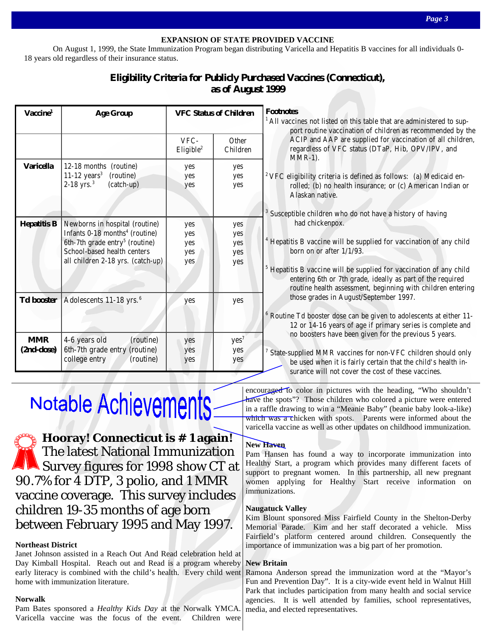#### **EXPANSION OF STATE PROVIDED VACCINE**

 On August 1, 1999, the State Immunization Program began distributing Varicella and Hepatitis B vaccines for all individuals 0- 18 years old regardless of their insurance status.

### **Eligibility Criteria for Publicly Purchased Vaccines (Connecticut), as of August 1999**

| Vaccine <sup>1</sup>     | <b>Age Group</b>                                                                                                                                                                               | <b>VFC Status of Children</b>   |                                 | <b>Footnotes</b><br><sup>1</sup> All vacci<br>po:                         |
|--------------------------|------------------------------------------------------------------------------------------------------------------------------------------------------------------------------------------------|---------------------------------|---------------------------------|---------------------------------------------------------------------------|
|                          |                                                                                                                                                                                                | VFC-<br>Eligible <sup>2</sup>   | Other<br>Children               | A <sub>0</sub><br>reg<br>M                                                |
| <b>Varicella</b>         | 12-18 months (routine)<br>$11-12$ years <sup>3</sup><br>(routine)<br>$2-18$ yrs. <sup>3</sup><br>(catch-up)                                                                                    | yes<br>yes<br>yes               | yes<br>yes<br>yes               | <sup>2</sup> VFC elig<br>rol<br>Al<br><sup>3</sup> Susceptib              |
| <b>Hepatitis B</b>       | Newborns in hospital (routine)<br>Infants 0-18 months <sup>4</sup> (routine)<br>6th-7th grade entry <sup>5</sup> (routine)<br>School-based health centers<br>all children 2-18 yrs. (catch-up) | yes<br>yes<br>yes<br>yes<br>yes | yes<br>yes<br>yes<br>yes<br>yes | h<br><sup>4</sup> Hepatitis<br>bo<br><sup>5</sup> Hepatitis<br>ent<br>rot |
| <b>Td booster</b>        | Adolescents 11-18 yrs. <sup>6</sup>                                                                                                                                                            | yes                             | yes                             | tho<br>$6$ Routine $7$<br>12                                              |
| <b>MMR</b><br>(2nd-dose) | 4-6 years old<br>(routine)<br>6th-7th grade entry (routine)<br>college entry<br>(routine)                                                                                                      | yes<br>yes<br>yes               | yes <sup>7</sup><br>yes<br>yes  | no<br><sup>7</sup> State-sup<br>be<br><b>SUI</b>                          |

All vaccines not listed on this table that are administered to support routine vaccination of children as recommended by the ACIP and AAP are supplied for vaccination of all children, regardless of VFC status (DTaP, Hib, OPV/IPV, and MMR-1).

<sup>2</sup> VFC eligibility criteria is defined as follows: (a) Medicaid enrolled; (b) no health insurance; or (c) American Indian or Alaskan native.

 Susceptible children who do not have a history of having had chickenpox.

 Hepatitis B vaccine will be supplied for vaccination of any child born on or after 1/1/93.

 Hepatitis B vaccine will be supplied for vaccination of any child entering 6th or 7th grade, ideally as part of the required routine health assessment, beginning with children entering those grades in August/September 1997.

 Routine Td booster dose can be given to adolescents at either 11- 12 or 14-16 years of age if primary series is complete and no boosters have been given for the previous 5 years.

 State-supplied MMR vaccines for non-VFC children should only be used when it is fairly certain that the child's health insurance will not cover the cost of these vaccines.

# Notable Achievements

**Hooray! Connecticut is # 1 again!**  The latest National Immunization Survey figures for 1998 show CT at 90.7% for 4 DTP, 3 polio, and 1 MMR vaccine coverage. This survey includes children 19-35 months of age born between February 1995 and May 1997.

#### **Northeast District**

Janet Johnson assisted in a Reach Out And Read celebration held at Day Kimball Hospital. Reach out and Read is a program whereby early literacy is combined with the child's health. Every child went home with immunization literature.

#### **Norwalk**

Pam Bates sponsored a *Healthy Kids Day* at the Norwalk YMCA. Varicella vaccine was the focus of the event. Children were

encouraged to color in pictures with the heading, "Who shouldn't have the spots"? Those children who colored a picture were entered in a raffle drawing to win a "Meanie Baby" (beanie baby look-a-like) which was a chicken with spots. Parents were informed about the varicella vaccine as well as other updates on childhood immunization.

#### **New Haven**

Pam Hansen has found a way to incorporate immunization into Healthy Start, a program which provides many different facets of support to pregnant women. In this partnership, all new pregnant women applying for Healthy Start receive information on immunizations.

#### **Naugatuck Valley**

Kim Blount sponsored Miss Fairfield County in the Shelton-Derby Memorial Parade. Kim and her staff decorated a vehicle. Miss Fairfield's platform centered around children. Consequently the importance of immunization was a big part of her promotion.

#### **New Britain**

Ramona Anderson spread the immunization word at the "Mayor's Fun and Prevention Day". It is a city-wide event held in Walnut Hill Park that includes participation from many health and social service agencies. It is well attended by families, school representatives, media, and elected representatives.